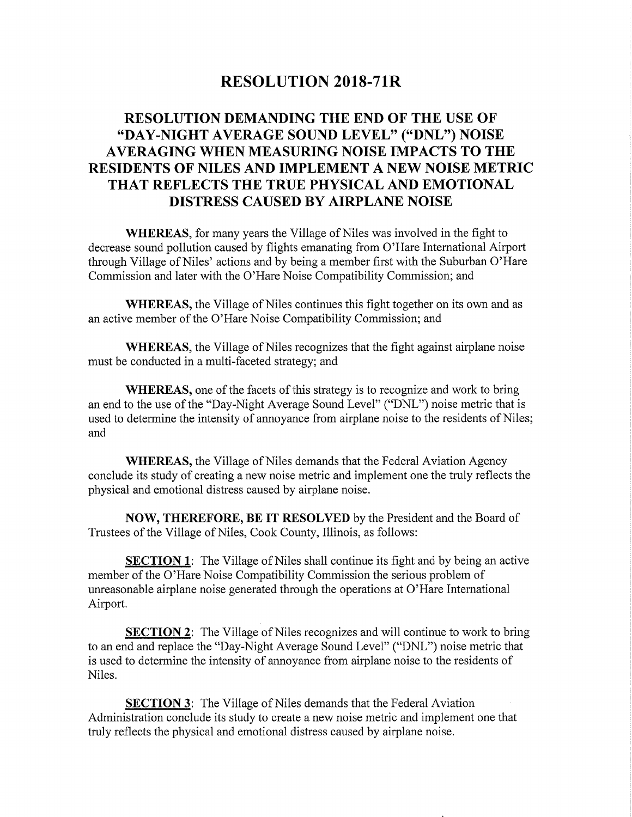## RESOLUTION 2018-71R

## RESOLUTION DEMANDING THE END OF THE USE OF "DAY-NIGHT AVERAGE SOUND LEVEL" ("DNL") NOISE AVERAGING WHEN MEASURING NOISE IMPACTS TO THE RESIDENTS OF NILES AND IMPLEMENT A NEW NOISE METRIC THAT REFLECTS THE TRUE PHYSICAL AND EMOTIONAL DISTRESS CAUSED BY AIRPLANE NOISE

WHEREAS, for many years the Village of Niles was involved in the fight to decrease sound pollution caused by flights emanating from O' Hare International Airport through Village of Niles' actions and by being a member first with the Suburban O'Hare Commission and later with the O' Hare Noise Compatibility Commission; and

WHEREAS, the Village of Niles continues this fight together on its own and as an active member of the O' Hare Noise Compatibility Commission; and

WHEREAS, the Village of Niles recognizes that the fight against airplane noise must be conducted in a multi-faceted strategy; and

WHEREAS, one of the facets of this strategy is to recognize and work to bring an end to the use of the "Day-Night Average Sound Level" ("DNL") noise metric that is used to determine the intensity of annoyance from airplane noise to the residents of Niles; and

WHEREAS, the Village of Niles demands that the Federal Aviation Agency conclude its study of creating <sup>a</sup> new noise metric and implement one the truly reflects the physical and emotional distress caused by airplane noise.

NOW, THEREFORE, BE IT RESOLVED by the President and the Board of Trustees of the Village of Niles, Cook County, Illinois, as follows:

**SECTION 1:** The Village of Niles shall continue its fight and by being an active member of the O'Hare Noise Compatibility Commission the serious problem of unreasonable airplane noise generated through the operations at O' Hare International Airport.

**SECTION 2:** The Village of Niles recognizes and will continue to work to bring to an end and replace the "Day-Night Average Sound Level" ("DNL") noise metric that is used to determine the intensity of annoyance from airplane noise to the residents of Niles.

**SECTION 3:** The Village of Niles demands that the Federal Aviation Administration conclude its study to create a new noise metric and implement one that truly reflects the physical and emotional distress caused by airplane noise.